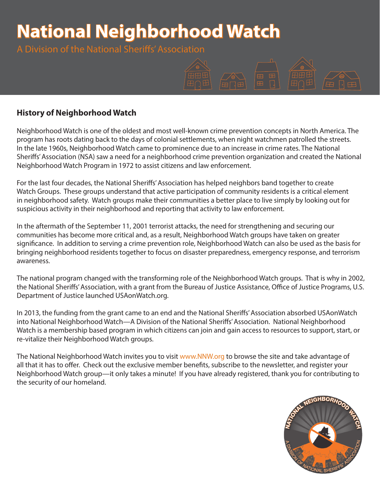# **National Neighborhood Watch**

A Division of the National Sheriffs' Association



# **History of Neighborhood Watch**

Neighborhood Watch is one of the oldest and most well-known crime prevention concepts in North America. The program has roots dating back to the days of colonial settlements, when night watchmen patrolled the streets. In the late 1960s, Neighborhood Watch came to prominence due to an increase in crime rates. The National Sheriffs' Association (NSA) saw a need for a neighborhood crime prevention organization and created the National Neighborhood Watch Program in 1972 to assist citizens and law enforcement.

For the last four decades, the National Sheriffs' Association has helped neighbors band together to create Watch Groups. These groups understand that active participation of community residents is a critical element in neighborhood safety. Watch groups make their communities a better place to live simply by looking out for suspicious activity in their neighborhood and reporting that activity to law enforcement.

In the aftermath of the September 11, 2001 terrorist attacks, the need for strengthening and securing our communities has become more critical and, as a result, Neighborhood Watch groups have taken on greater significance. In addition to serving a crime prevention role, Neighborhood Watch can also be used as the basis for bringing neighborhood residents together to focus on disaster preparedness, emergency response, and terrorism awareness.

The national program changed with the transforming role of the Neighborhood Watch groups. That is why in 2002, the National Sheriffs' Association, with a grant from the Bureau of Justice Assistance, Office of Justice Programs, U.S. Department of Justice launched USAonWatch.org.

In 2013, the funding from the grant came to an end and the National Sheriffs' Association absorbed USAonWatch into National Neighborhood Watch—A Division of the National Sheriffs' Association. National Neighborhood Watch is a membership based program in which citizens can join and gain access to resources to support, start, or re-vitalize their Neighborhood Watch groups.

The National Neighborhood Watch invites you to visit www.NNW.org to browse the site and take advantage of all that it has to offer. Check out the exclusive member benefits, subscribe to the newsletter, and register your Neighborhood Watch group—it only takes a minute! If you have already registered, thank you for contributing to the security of our homeland.

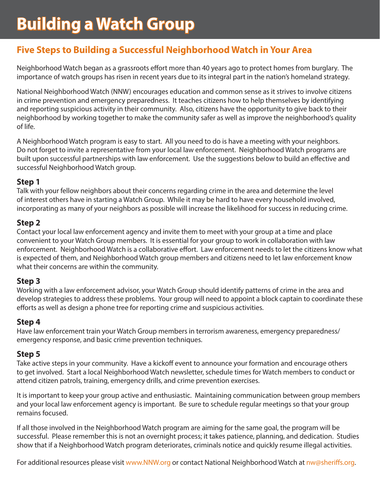# **Five Steps to Building a Successful Neighborhood Watch in Your Area**

Neighborhood Watch began as a grassroots effort more than 40 years ago to protect homes from burglary. The importance of watch groups has risen in recent years due to its integral part in the nation's homeland strategy.

National Neighborhood Watch (NNW) encourages education and common sense as it strives to involve citizens in crime prevention and emergency preparedness. It teaches citizens how to help themselves by identifying and reporting suspicious activity in their community. Also, citizens have the opportunity to give back to their neighborhood by working together to make the community safer as well as improve the neighborhood's quality of life.

A Neighborhood Watch program is easy to start. All you need to do is have a meeting with your neighbors. Do not forget to invite a representative from your local law enforcement. Neighborhood Watch programs are built upon successful partnerships with law enforcement. Use the suggestions below to build an effective and successful Neighborhood Watch group.

# **Step 1**

Talk with your fellow neighbors about their concerns regarding crime in the area and determine the level of interest others have in starting a Watch Group. While it may be hard to have every household involved, incorporating as many of your neighbors as possible will increase the likelihood for success in reducing crime.

# **Step 2**

Contact your local law enforcement agency and invite them to meet with your group at a time and place convenient to your Watch Group members. It is essential for your group to work in collaboration with law enforcement. Neighborhood Watch is a collaborative effort. Law enforcement needs to let the citizens know what is expected of them, and Neighborhood Watch group members and citizens need to let law enforcement know what their concerns are within the community.

# **Step 3**

Working with a law enforcement advisor, your Watch Group should identify patterns of crime in the area and develop strategies to address these problems. Your group will need to appoint a block captain to coordinate these efforts as well as design a phone tree for reporting crime and suspicious activities.

# **Step 4**

Have law enforcement train your Watch Group members in terrorism awareness, emergency preparedness/ emergency response, and basic crime prevention techniques.

# **Step 5**

Take active steps in your community. Have a kickoff event to announce your formation and encourage others to get involved. Start a local Neighborhood Watch newsletter, schedule times for Watch members to conduct or attend citizen patrols, training, emergency drills, and crime prevention exercises.

It is important to keep your group active and enthusiastic. Maintaining communication between group members and your local law enforcement agency is important. Be sure to schedule regular meetings so that your group remains focused.

If all those involved in the Neighborhood Watch program are aiming for the same goal, the program will be successful. Please remember this is not an overnight process; it takes patience, planning, and dedication. Studies show that if a Neighborhood Watch program deteriorates, criminals notice and quickly resume illegal activities.

For additional resources please visit www.NNW.org or contact National Neighborhood Watch at nw@sheriffs.org.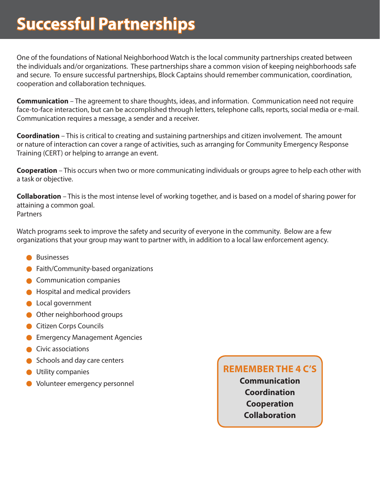# **Successful Partnerships**

One of the foundations of National Neighborhood Watch is the local community partnerships created between the individuals and/or organizations. These partnerships share a common vision of keeping neighborhoods safe and secure. To ensure successful partnerships, Block Captains should remember communication, coordination, cooperation and collaboration techniques.

**Communication** – The agreement to share thoughts, ideas, and information. Communication need not require face-to-face interaction, but can be accomplished through letters, telephone calls, reports, social media or e-mail. Communication requires a message, a sender and a receiver.

**Coordination** – This is critical to creating and sustaining partnerships and citizen involvement. The amount or nature of interaction can cover a range of activities, such as arranging for Community Emergency Response Training (CERT) or helping to arrange an event.

**Cooperation** – This occurs when two or more communicating individuals or groups agree to help each other with a task or objective.

**Collaboration** – This is the most intense level of working together, and is based on a model of sharing power for attaining a common goal. **Partners** 

Watch programs seek to improve the safety and security of everyone in the community. Below are a few organizations that your group may want to partner with, in addition to a local law enforcement agency.

- **•** Businesses
- **•** Faith/Community-based organizations
- Communication companies
- **•** Hospital and medical providers
- **Local government**
- **Other neighborhood groups**
- **Citizen Corps Councils**
- **Emergency Management Agencies**
- Civic associations
- Schools and day care centers
- **Utility companies**
- Volunteer emergency personnel

# **REMEMBER THE 4 C'S**

**Communication Coordination Cooperation Collaboration**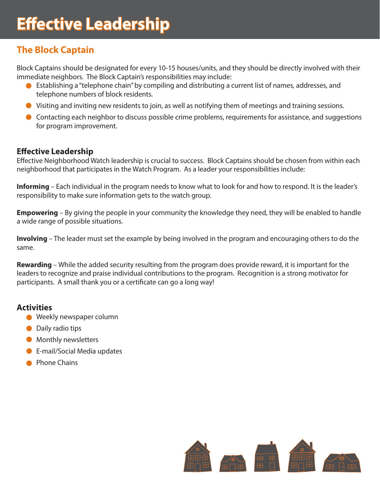# **The Block Captain**

Block Captains should be designated for every 10-15 houses/units, and they should be directly involved with their immediate neighbors. The Block Captain's responsibilities may include:

- Establishing a "telephone chain" by compiling and distributing a current list of names, addresses, and telephone numbers of block residents.
- Visiting and inviting new residents to join, as well as notifying them of meetings and training sessions.
- Contacting each neighbor to discuss possible crime problems, requirements for assistance, and suggestions for program improvement.

### **Effective Leadership**

Effective Neighborhood Watch leadership is crucial to success. Block Captains should be chosen from within each neighborhood that participates in the Watch Program. As a leader your responsibilities include:

**Informing** – Each individual in the program needs to know what to look for and how to respond. It is the leader's responsibility to make sure information gets to the watch group.

**Empowering** – By giving the people in your community the knowledge they need, they will be enabled to handle a wide range of possible situations.

**Involving** – The leader must set the example by being involved in the program and encouraging others to do the same.

**Rewarding** – While the added security resulting from the program does provide reward, it is important for the leaders to recognize and praise individual contributions to the program. Recognition is a strong motivator for participants. A small thank you or a certificate can go a long way!

#### **Activities**

- Weekly newspaper column
- Daily radio tips
- **•** Monthly newsletters
- **•** E-mail/Social Media updates
- **Phone Chains**

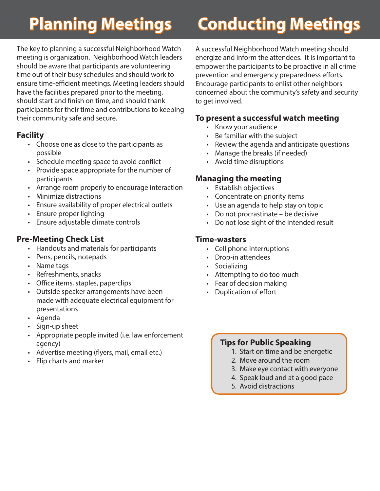The key to planning a successful Neighborhood Watch meeting is organization. Neighborhood Watch leaders should be aware that participants are volunteering time out of their busy schedules and should work to ensure time-efficient meetings. Meeting leaders should have the facilities prepared prior to the meeting, should start and finish on time, and should thank participants for their time and contributions to keeping their community safe and secure.

# **Facility**

- Choose one as close to the participants as possible
- Schedule meeting space to avoid conflict
- Provide space appropriate for the number of participants
- Arrange room properly to encourage interaction
- Minimize distractions
- Ensure availability of proper electrical outlets
- Ensure proper lighting
- Ensure adjustable climate controls

# **Pre-Meeting Check List**

- Handouts and materials for participants
- Pens, pencils, notepads
- Name tags
- Refreshments, snacks
- Office items, staples, paperclips
- Outside speaker arrangements have been made with adequate electrical equipment for presentations
- Agenda
- Sign-up sheet
- Appropriate people invited (i.e. law enforcement agency)
- Advertise meeting (flyers, mail, email etc.)
- Flip charts and marker

# **Planning Meetings Conducting Meetings**

A successful Neighborhood Watch meeting should energize and inform the attendees. It is important to empower the participants to be proactive in all crime prevention and emergency preparedness efforts. Encourage participants to enlist other neighbors concerned about the community's safety and security to get involved.

# **To present a successful watch meeting**

- Know your audience
- Be familiar with the subject
- Review the agenda and anticipate questions
- Manage the breaks (if needed)
- Avoid time disruptions

# **Managing the meeting**

- Establish objectives
- Concentrate on priority items
- Use an agenda to help stay on topic
- Do not procrastinate be decisive
- Do not lose sight of the intended result

#### **Time-wasters**

- Cell phone interruptions
- Drop-in attendees
- Socializing
- Attempting to do too much
- Fear of decision making
- Duplication of effort

# **Tips for Public Speaking**

- 1. Start on time and be energetic
- 2. Move around the room
- 3. Make eye contact with everyone
- 4. Speak loud and at a good pace
- 5. Avoid distractions